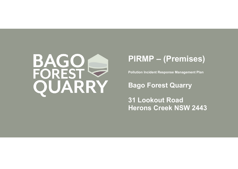

# **PIRMP – (Premises)**

**Pollution Incident Response Management Plan**

**Bago Forest Quarry**

**31 Lookout Road Herons Creek NSW 2443**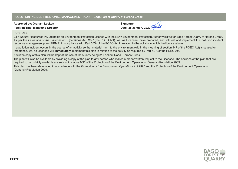## **POLLUTION INCIDENT RESPONSE MANAGEMENT PLAN – Bago Forest Quarry at Herons Creek**

| <b>Approved by: Graham Lockett</b>       |
|------------------------------------------|
| <b>Position/Title: Managing Director</b> |

**Signature: Date: 28 January 2022**



CTK Natural Resources Pty Ltd holds an Environment Protection Licence with the NSW Environment Protection Authority (EPA) for Bago Forest Quarry at Herons Creek. As per the *Protection of the Environment Operations Act 1997* (the POEO Act), we, as Licensee, have prepared, and will test and implement this pollution incident response management plan (PIRMP) in compliance with Part 5.7A of the POEO Act in relation to the activity to which the licence relates.

If a pollution incident occurs in the course of an activity so that material harm to the environment (within the meaning of section 147 of the POEO Act) is caused or threatened, we, as Licensee will **immediately** implement this plan in relation to the activity as required by Part 5.7A of the POEO Act.

A written copy of this plan will be kept at the site of the Quarry being 31 Lookout Road, Herons Creek.

The plan will also be available by providing a copy of the plan to any person who makes a proper written request to the Licensee. The sections of the plan that are required to be publicly available are set out in clause 98D of the Protection of the Environment Operations (General) Regulation 2009.

This plan has been developed in accordance with the *Protection of the Environment Operations Act 1997* and the Protection of the Environment Operations (General) Regulation 2009.

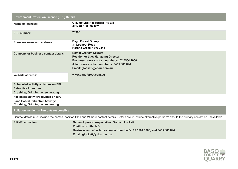## **Environment Protection Licence (EPL) Details**

| <b>Name of licensee:</b>                                                           | <b>CTK Natural Resources Pty Ltd</b><br>ABN 64 168 637 652                                                                                                                                                |
|------------------------------------------------------------------------------------|-----------------------------------------------------------------------------------------------------------------------------------------------------------------------------------------------------------|
| <b>EPL number:</b>                                                                 | 20983                                                                                                                                                                                                     |
| <b>Premises name and address:</b>                                                  | <b>Bago Forest Quarry</b><br><b>31 Lookout Road</b><br><b>Herons Creek NSW 2443</b>                                                                                                                       |
| <b>Company or business contact details</b>                                         | <b>Name: Graham Lockett</b><br><b>Position or title: Managing Director</b><br>Business hours contact number/s: 02 5564 1000<br>After hours contact number/s: 0455 865 894<br>Email: glockett@ctknr.com.au |
| <b>Website address:</b>                                                            | www.bagoforest.com.au                                                                                                                                                                                     |
| <b>Scheduled activity/activities on EPL:</b>                                       |                                                                                                                                                                                                           |
| <b>Extractive Industries:</b>                                                      |                                                                                                                                                                                                           |
| <b>Crushing, Grinding, or separating</b>                                           |                                                                                                                                                                                                           |
| Fee based activity/activities on EPL:                                              |                                                                                                                                                                                                           |
| <b>Land Based Extractive Activity:</b><br><b>Crushing, Grinding, or separating</b> |                                                                                                                                                                                                           |

# **Pollution incident – Person/s responsible**

Contact details must include the names, position titles and 24-hour contact details. Details are to include alternative person/s should the primary contact be unavailable.

| <b>PIRMP</b> activation | Name of person responsible: Graham Lockett                                |  |  |
|-------------------------|---------------------------------------------------------------------------|--|--|
|                         | <b>Position or title: MD</b>                                              |  |  |
|                         | Business and after hours contact number/s: 02 5564 1000, and 0455 865 894 |  |  |
|                         | Email: glockett@ctknr.com.au                                              |  |  |

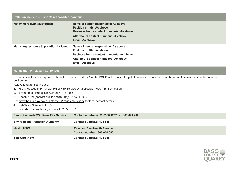## **Pollution incident – Person/s responsible, continued**

| <b>Notifying relevant authorities</b>   | Name of person responsible: As above<br><b>Position or title: As above</b><br>Business hours contact number/s: As above<br>After hours contact number/s: As above<br>Email: As above        |
|-----------------------------------------|---------------------------------------------------------------------------------------------------------------------------------------------------------------------------------------------|
| Managing response to pollution incident | Name of person responsible: As above<br><b>Position or title: As above</b><br>Business hours contact number/s: As above<br>After hours contact number/s: As above<br><b>Email: As above</b> |

## **Notification of relevant authorities**

Persons or authorities required to be notified as per Part 5.7A of the POEO Act in case of a pollution incident that causes or threatens to cause material harm to the environment.

Relevant authorities include:

- 1. Fire & Rescue NSW and/or Rural Fire Service as applicable 000 (first notification)
- 2. Environment Protection Authority 131 555
- 3. Health NSW (nearest public health unit): 02 5524 2000

See www.health.nsw.gov.au/Infectious/Pages/phus.aspx for local contact details.

- 4. SafeWork NSW 131 050
- 5. Port Macquarie-Hastings Council 02 6581 8111

| Fire & Rescue NSW / Rural Fire Service  | Contact number/s: 02 6586 1257 or 1300 643 262                      |
|-----------------------------------------|---------------------------------------------------------------------|
| <b>Environment Protection Authority</b> | Contact number/s: 131 555                                           |
| <b>Health NSW</b>                       | <b>Relevant Area Health Service:</b><br>Contact number 1800 020 080 |
| <b>SafeWork NSW</b>                     | Contact number/s: 131 050                                           |

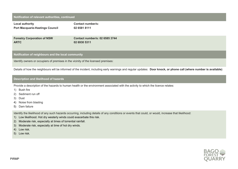# **Notification of relevant authorities, continued Local authority Port Macquarie-Hastings Council Contact number/s: 02 6581 8111 Forestry Corporation of NSW ARTC Contact number/s: 02 6585 3744 02 6930 5311**

**Notification of neighbours and the local community**

Identify owners or occupiers of premises in the vicinity of the licensed premises:

Details of how the neighbours will be informed of the incident, including early warnings and regular updates: **Door knock, or phone call (where number is available)**

#### **Description and likelihood of hazards**

Provide a description of the hazards to human health or the environment associated with the activity to which the licence relates:

- 1) Bush fire
- 2) Sediment run off
- 3) Dust
- 4) Noise from blasting
- 5) Dam failure

Identify the likelihood of any such hazards occurring, including details of any conditions or events that could, or would, increase that likelihood:

- 1) Low likelihood. Hot dry westerly winds could exacerbate this risk.
- 2) Moderate risk, especially at times of torrential rainfall.
- 3) Moderate risk, especially at time of hot dry winds.
- 4) Low risk.
- 5) Low risk.

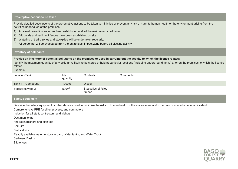#### **Pre-emptive actions to be taken**

Provide detailed descriptions of the pre-emptive actions to be taken to minimise or prevent any risk of harm to human health or the environment arising from the activities undertaken at the premises:

- 1) An asset protection zone has been established and will be maintained at all times.
- 2) Silt ponds and sediment fences have been established on site.
- 3) Watering of traffic zones and stockpiles will be undertaken regularly.
- 4) All personnel will be evacuated from the entire blast impact zone before all blasting activity.

#### **Inventory of pollutants**

#### **Provide an inventory of potential pollutants on the premises or used in carrying out the activity to which the licence relates:**

Identify the maximum quantity of any pollutant/s likely to be stored or held at particular locations (including underground tanks) at or on the premises to which the licence relates.

#### Example

| Location/Tank      | Max.<br>quantity  | Contents                       | Comments |
|--------------------|-------------------|--------------------------------|----------|
| Tank 1 - Compound  | 1000kg            | <b>Diesel</b>                  |          |
| Stockpiles various | 500 <sup>m3</sup> | Stockpiles of felled<br>timber |          |

# **Safety equipment**

Describe the safety equipment or other devices used to minimise the risks to human health or the environment and to contain or control a pollution incident:

Comprehensive PPE for all employees, and contractors

Induction for all staff, contractors, and visitors

Dust monitoring

Fire Extinguishers and blankets

Spill kits

First aid kits

Readily available water in storage dam, Water tanks, and Water Truck

Sediment Basins

Silt fences

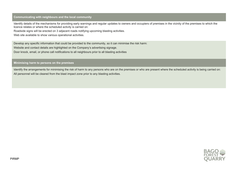#### **Communicating with neighbours and the local community**

Identify details of the mechanisms for providing early warnings and regular updates to owners and occupiers of premises in the vicinity of the premises to which the licence relates or where the scheduled activity is carried on:

Roadside signs will be erected on 3 adjacent roads notifying upcoming blasting activities.

Web site available to show various operational activities.

Develop any specific information that could be provided to the community, so it can minimise the risk harm: Website and contact details are highlighted on the Company's advertising signage.

Door knock, email, or phone call notifications to all neighbours prior to all blasting activities

**Minimising harm to persons on the premises**

Identify the arrangements for minimising the risk of harm to any persons who are on the premises or who are present where the scheduled activity is being carried on: All personnel will be cleared from the blast impact zone prior to any blasting activities.

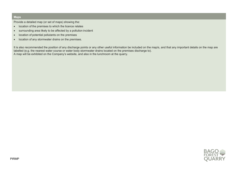## **Maps**

Provide a detailed map (or set of maps) showing the:

- location of the premises to which the licence relates
- surrounding area likely to be affected by a pollution incident
- location of potential pollutants on the premises
- location of any stormwater drains on the premises.

It is also recommended the position of any discharge points or any other useful information be included on the map/s, and that any important details on the map are labelled (e.g. the nearest water course or water body stormwater drains located on the premises discharge to). A map will be exhibited on the Company's website, and also in the lunchroom at the quarry.

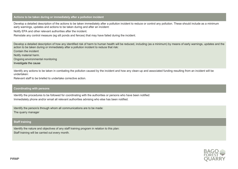#### **Actions to be taken during or immediately after a pollution incident**

Develop a detailed description of the actions to be taken immediately after a pollution incident to reduce or control any pollution. These should include as a minimum early warnings, updates and actions to be taken during and after an incident:

Notify EPA and other relevant authorities after the incident.

Reinstate any control measure (eg silt ponds and fences) that may have failed during the incident.

Develop a detailed description of how any identified risk of harm to human health will be reduced, including (as a minimum) by means of early warnings, updates and the action to be taken during or immediately after a pollution incident to reduce that risk:

Contain the incident

Notify material harm.

Ongoing environmental monitoring

Investigate the cause

Identify any actions to be taken in combating the pollution caused by the incident and how any clean-up and associated funding resulting from an incident will be undertaken:

Relevant staff to be briefed to undertake corrective action.

## **Coordinating with persons**

Identify the procedures to be followed for coordinating with the authorities or persons who have been notified: Immediately phone and/or email all relevant authorities advising who else has been notified.

Identify the person/s through whom all communications are to be made: The quarry manager

#### **Staff training**

Identify the nature and objectives of any staff training program in relation to this plan: Staff training will be carried out every month.